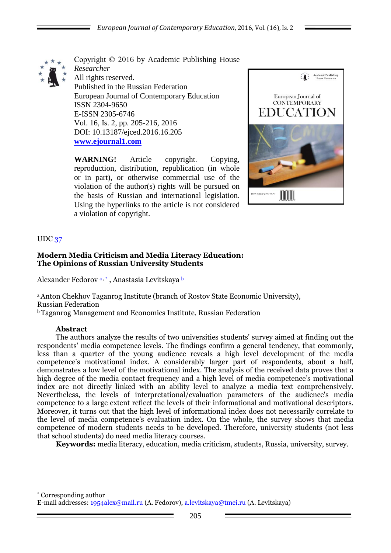

Copyright © 2016 by Academic Publishing House *Researcher* All rights reserved. Published in the Russian Federation European Journal of Contemporary Education ISSN 2304-9650 E-ISSN 2305-6746 Vol. 16, Is. 2, pp. 205-216, 2016 DOI: 10.13187/ejced.2016.16.205 **[www.ejournal1.com](http://www.ejournal1.com/)**

**WARNING!** Article copyright. Copying, reproduction, distribution, republication (in whole or in part), or otherwise commercial use of the violation of the author(s) rights will be pursued on the basis of Russian and international legislation. Using the hyperlinks to the article is not considered a violation of copyright.



# UDC 37

1

### **Modern Media Criticism and Media Literacy Education: The Opinions of Russian University Students**

Alexander Fedorov a, \* , Anastasia Levitskaya b

<sup>a</sup> Anton Chekhov Taganrog Institute (branch of Rostov State Economic University), Russian Federation

<sup>b</sup>Taganrog Management and Economics Institute, Russian Federation

### **Abstract**

The authors analyze the results of two universities students' survey aimed at finding out the respondents' media competence levels. The findings confirm a general tendency, that commonly, less than a quarter of the young audience reveals a high level development of the media competence's motivational index. A considerably larger part of respondents, about a half, demonstrates a low level of the motivational index. The analysis of the received data proves that a high degree of the media contact frequency and a high level of media competence's motivational index are not directly linked with an ability level to analyze a media text comprehensively. Nevertheless, the levels of interpretational/evaluation parameters of the audience's media competence to a large extent reflect the levels of their informational and motivational descriptors. Moreover, it turns out that the high level of informational index does not necessarily correlate to the level of media competence's evaluation index. On the whole, the survey shows that media competence of modern students needs to be developed. Therefore, university students (not less that school students) do need media literacy courses.

**Keywords:** media literacy, education, media criticism, students, Russia, university, survey.

\* Corresponding author E-mail addresses: [1954alex@mail.ru](mailto:1954alex@mail.ru) (A. Fedorov), [a.levitskaya@tmei.ru](mailto:a.levitskaya@tmei.ru) (A. Levitskaya)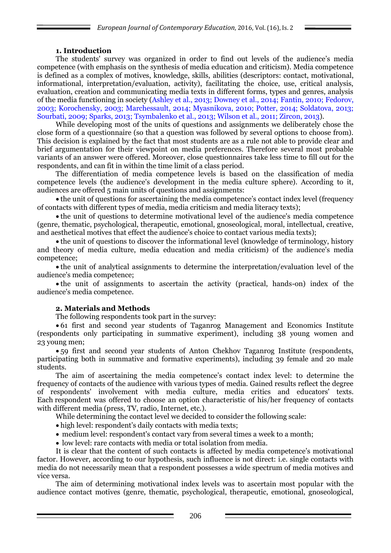# **1. Introduction**

The students' survey was organized in order to find out levels of the audience's media competence (with emphasis on the synthesis of media education and criticism). Media competence is defined as a complex of motives, knowledge, skills, abilities (descriptors: contact, motivational, informational, interpretation/evaluation, activity), facilitating the choice, use, critical analysis, evaluation, creation and communicating media texts in different forms, types and genres, analysis of the media functioning in society (Ashley et al., 2013; Downey et al., 2014; Fantin, 2010; Fedorov, 2003; Korochensky, 2003; Marchessault, 2014; Myasnikova, 2010; Potter, 2014; Soldatova, 2013; Sourbati, 2009; Sparks, 2013; Tsymbalenko et al., 2013; Wilson et al., 2011; Zircon, 2013).

While developing most of the units of questions and assignments we deliberately chose the close form of a questionnaire (so that a question was followed by several options to choose from). This decision is explained by the fact that most students are as a rule not able to provide clear and brief argumentation for their viewpoint on media preferences. Therefore several most probable variants of an answer were offered. Moreover, close questionnaires take less time to fill out for the respondents, and can fit in within the time limit of a class period.

The differentiation of media competence levels is based on the classification of media competence levels (the audience's development in the media culture sphere). According to it, audiences are offered 5 main units of questions and assignments:

• the unit of questions for ascertaining the media competence's contact index level (frequency of contacts with different types of media, media criticism and media literacy texts);

 the unit of questions to determine motivational level of the audience's media competence (genre, thematic, psychological, therapeutic, emotional, gnoseological, moral, intellectual, creative, and aesthetical motives that effect the audience's choice to contact various media texts);

 the unit of questions to discover the informational level (knowledge of terminology, history and theory of media culture, media education and media criticism) of the audience's media competence;

 the unit of analytical assignments to determine the interpretation/evaluation level of the audience's media competence;

 the unit of assignments to ascertain the activity (practical, hands-on) index of the audience's media competence.

### **2. Materials and Methods**

The following respondents took part in the survey:

 61 first and second year students of Taganrog Management and Economics Institute (respondents only participating in summative experiment), including 38 young women and 23 young men;

 59 first and second year students of Anton Chekhov Taganrog Institute (respondents, participating both in summative and formative experiments), including 39 female and 20 male students.

The aim of ascertaining the media competence's contact index level: to determine the frequency of contacts of the audience with various types of media. Gained results reflect the degree of respondents' involvement with media culture, media critics and educators' texts. Each respondent was offered to choose an option characteristic of his/her frequency of contacts with different media (press, TV, radio, Internet, etc.).

While determining the contact level we decided to consider the following scale:

- high level: respondent's daily contacts with media texts;
- medium level: respondent's contact vary from several times a week to a month;
- low level: rare contacts with media or total isolation from media.

It is clear that the content of such contacts is affected by media competence's motivational factor. However, according to our hypothesis, such influence is not direct: i.e. single contacts with media do not necessarily mean that a respondent possesses a wide spectrum of media motives and vice versa.

The aim of determining motivational index levels was to ascertain most popular with the audience contact motives (genre, thematic, psychological, therapeutic, emotional, gnoseological,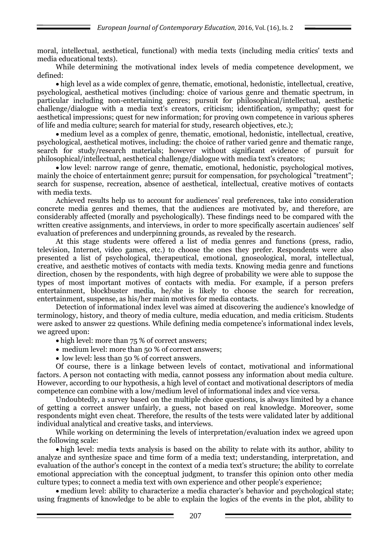moral, intellectual, aesthetical, functional) with media texts (including media critics' texts and media educational texts).

While determining the motivational index levels of media competence development, we defined:

 high level as a wide complex of genre, thematic, emotional, hedonistic, intellectual, creative, psychological, aesthetical motives (including: choice of various genre and thematic spectrum, in particular including non-entertaining genres; pursuit for philosophical/intellectual, aesthetic challenge/dialogue with a media text's creators, criticism; identification, sympathy; quest for aesthetical impressions; quest for new information; for proving own competence in various spheres of life and media culture; search for material for study, research objectives, etc.);

 medium level as a complex of genre, thematic, emotional, hedonistic, intellectual, creative, psychological, aesthetical motives, including: the choice of rather varied genre and thematic range, search for study/research materials; however without significant evidence of pursuit for philosophical/intellectual, aesthetical challenge/dialogue with media text's creators;

 low level: narrow range of genre, thematic, emotional, hedonistic, psychological motives, mainly the choice of entertainment genre; pursuit for compensation, for psychological "treatment"; search for suspense, recreation, absence of aesthetical, intellectual, creative motives of contacts with media texts.

Achieved results help us to account for audiences' real preferences, take into consideration concrete media genres and themes, that the audiences are motivated by, and therefore, are considerably affected (morally and psychologically). These findings need to be compared with the written creative assignments, and interviews, in order to more specifically ascertain audiences' self evaluation of preferences and underpinning grounds, as revealed by the research.

At this stage students were offered a list of media genres and functions (press, radio, television, Internet, video games, etc.) to choose the ones they prefer. Respondents were also presented a list of psychological, therapeutical, emotional, gnoseological, moral, intellectual, creative, and aesthetic motives of contacts with media texts. Knowing media genre and functions direction, chosen by the respondents, with high degree of probability we were able to suppose the types of most important motives of contacts with media. For example, if a person prefers entertainment, blockbuster media, he/she is likely to choose the search for recreation, entertainment, suspense, as his/her main motives for media contacts.

Detection of informational index level was aimed at discovering the audience's knowledge of terminology, history, and theory of media culture, media education, and media criticism. Students were asked to answer 22 questions. While defining media competence's informational index levels, we agreed upon:

- high level: more than 75 % of correct answers;
- medium level: more than 50 % of correct answers;
- low level: less than 50 % of correct answers.

Of course, there is a linkage between levels of contact, motivational and informational factors. A person not contacting with media, cannot possess any information about media culture. However, according to our hypothesis, a high level of contact and motivational descriptors of media competence can combine with a low/medium level of informational index and vice versa.

Undoubtedly, a survey based on the multiple choice questions, is always limited by a chance of getting a correct answer unfairly, a guess, not based on real knowledge. Moreover, some respondents might even cheat. Therefore, the results of the tests were validated later by additional individual analytical and creative tasks, and interviews.

While working on determining the levels of interpretation/evaluation index we agreed upon the following scale:

 high level: media texts analysis is based on the ability to relate with its author, ability to analyze and synthesize space and time form of a media text; understanding, interpretation, and evaluation of the author's concept in the context of a media text's structure; the ability to correlate emotional appreciation with the conceptual judgment, to transfer this opinion onto other media culture types; to connect a media text with own experience and other people's experience;

 medium level: ability to characterize a media character's behavior and psychological state; using fragments of knowledge to be able to explain the logics of the events in the plot, ability to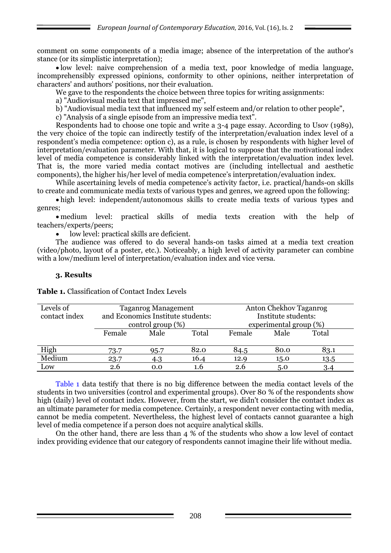comment on some components of a media image; absence of the interpretation of the author's stance (or its simplistic interpretation);

 low level: naive comprehension of a media text, poor knowledge of media language, incomprehensibly expressed opinions, conformity to other opinions, neither interpretation of characters' and authors' positions, nor their evaluation.

We gave to the respondents the choice between three topics for writing assignments:

a) "Audiovisual media text that impressed me",

b) "Audiovisual media text that influenced my self esteem and/or relation to other people",

c) "Analysis of a single episode from an impressive media text".

Respondents had to choose one topic and write a 3-4 page essay. According to Usov (1989), the very choice of the topic can indirectly testify of the interpretation/evaluation index level of a respondent's media competence: option c), as a rule, is chosen by respondents with higher level of interpretation/evaluation parameter. With that, it is logical to suppose that the motivational index level of media competence is considerably linked with the interpretation/evaluation index level. That is, the more varied media contact motives are (including intellectual and aesthetic components), the higher his/her level of media competence's interpretation/evaluation index.

While ascertaining levels of media competence's activity factor, i.e. practical/hands-on skills to create and communicate media texts of various types and genres, we agreed upon the following:

 high level: independent/autonomous skills to create media texts of various types and genres;

 medium level: practical skills of media texts creation with the help of teachers/experts/peers;

low level: practical skills are deficient.

The audience was offered to do several hands-on tasks aimed at a media text creation (video/photo, layout of a poster, etc.). Noticeably, a high level of activity parameter can combine with a low/medium level of interpretation/evaluation index and vice versa.

## **3. Results**

| <b>Table 1.</b> Classification of Contact Index Levels |  |
|--------------------------------------------------------|--|
|--------------------------------------------------------|--|

| Levels of<br>contact index | <b>Taganrog Management</b><br>and Economics Institute students:<br>control group $(\%)$ |      |        |      | Anton Chekhov Taganrog<br>Institute students:<br>experimental group (%) |      |
|----------------------------|-----------------------------------------------------------------------------------------|------|--------|------|-------------------------------------------------------------------------|------|
|                            | Male<br>Female<br>Total                                                                 |      | Female | Male | Total                                                                   |      |
| High                       | 73.7                                                                                    | 95.7 | 82.0   | 84.5 | 80.0                                                                    | 83.1 |
| Medium                     | 23.7                                                                                    | 4.3  | 16.4   | 12.9 | 15.0                                                                    | 13.5 |
| Low                        | 2.6                                                                                     | 0.0  | 1.6    | 2.6  | 5.0                                                                     | 3.4  |

Table 1 data testify that there is no big difference between the media contact levels of the students in two universities (control and experimental groups). Over 80 % of the respondents show high (daily) level of contact index. However, from the start, we didn't consider the contact index as an ultimate parameter for media competence. Certainly, a respondent never contacting with media, cannot be media competent. Nevertheless, the highest level of contacts cannot guarantee a high level of media competence if a person does not acquire analytical skills.

On the other hand, there are less than 4 % of the students who show a low level of contact index providing evidence that our category of respondents cannot imagine their life without media.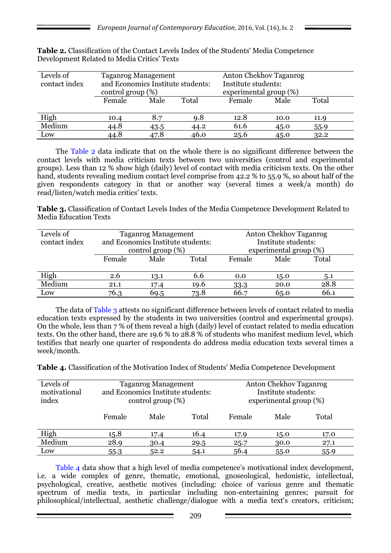| Levels of<br>contact index | <b>Taganrog Management</b><br>and Economics Institute students:<br>control group $(\%)$ |      |       | Anton Chekhov Taganrog<br>Institute students:<br>experimental group (%) |      |       |
|----------------------------|-----------------------------------------------------------------------------------------|------|-------|-------------------------------------------------------------------------|------|-------|
|                            | Female                                                                                  | Male | Total | Female                                                                  | Male | Total |
| High                       | 10.4                                                                                    | 8.7  | 9.8   | 12.8                                                                    | 10.0 | 11.9  |
| Medium                     | 44.8                                                                                    | 43.5 | 44.2  | 61.6                                                                    | 45.0 | 55.9  |
| Low                        | 44.8                                                                                    | 47.8 | 46.0  | 25.6                                                                    | 45.0 | 32.2  |

**Table 2.** Classification of the Contact Levels Index of the Students' Media Competence Development Related to Media Critics' Texts

The Table 2 data indicate that on the whole there is no significant difference between the contact levels with media criticism texts between two universities (control and experimental groups). Less than 12 % show high (daily) level of contact with media criticism texts. On the other hand, students revealing medium contact level comprise from 42.2 % to 55.9 %, so about half of the given respondents category in that or another way (several times a week/a month) do read/listen/watch media critics' texts.

**Table 3.** Classification of Contact Levels Index of the Media Competence Development Related to Media Education Texts

| Levels of<br>contact index | <b>Taganrog Management</b><br>and Economics Institute students:<br>control group $(\%)$ |      |        |      | Anton Chekhov Taganrog<br>Institute students:<br>experimental group (%) |      |
|----------------------------|-----------------------------------------------------------------------------------------|------|--------|------|-------------------------------------------------------------------------|------|
|                            | Male<br>Total<br>Female                                                                 |      | Female | Male | Total                                                                   |      |
| High                       | 2.6                                                                                     | 13.1 | 6.6    | 0.0  | 15.0                                                                    | 5.1  |
| Medium                     | 21.1                                                                                    | 17.4 | 19.6   | 33.3 | 20.0                                                                    | 28.8 |
| Low                        | 76.3                                                                                    | 69.5 | 73.8   | 66.7 | 65.0                                                                    | 66.1 |

The data of Table 3 attests no significant difference between levels of contact related to media education texts expressed by the students in two universities (control and experimental groups). On the whole, less than 7 % of them reveal a high (daily) level of contact related to media education texts. On the other hand, there are 19.6 % to 28.8 % of students who manifest medium level, which testifies that nearly one quarter of respondents do address media education texts several times a week/month.

**Table 4.** Classification of the Motivation Index of Students' Media Competence Development

| Levels of<br>motivational<br>index | <b>Taganrog Management</b><br>and Economics Institute students:<br>control group $(\%)$ |      |       | Anton Chekhov Taganrog<br>Institute students:<br>experimental group (%) |      |       |
|------------------------------------|-----------------------------------------------------------------------------------------|------|-------|-------------------------------------------------------------------------|------|-------|
|                                    | Female                                                                                  | Male | Total | Female                                                                  | Male | Total |
| High                               | 15.8                                                                                    | 17.4 | 16.4  | 17.9                                                                    | 15.0 | 17.0  |
| Medium                             | 28.9                                                                                    | 30.4 | 29.5  | 25.7                                                                    | 30.0 | 27.1  |
| Low                                | $55-3$                                                                                  | 52.2 | 54.1  | 56.4                                                                    | 55.0 | 55.9  |

Table 4 data show that a high level of media competence's motivational index development, i.e. a wide complex of genre, thematic, emotional, gnoseological, hedonistic, intellectual, psychological, creative, aesthetic motives (including: choice of various genre and thematic spectrum of media texts, in particular including non-entertaining genres; pursuit for philosophical/intellectual, aesthetic challenge/dialogue with a media text's creators, criticism;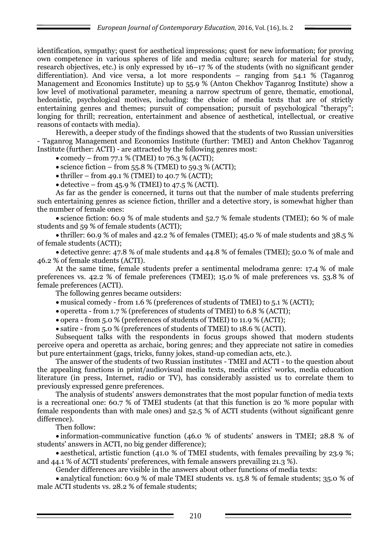identification, sympathy; quest for aesthetical impressions; quest for new information; for proving own competence in various spheres of life and media culture; search for material for study, research objectives, etc.) is only expressed by 16–17 % of the students (with no significant gender differentiation). And vice versa, a lot more respondents – ranging from 54.1 % (Taganrog Management and Economics Institute) up to 55.9 % (Anton Chekhov Taganrog Institute) show a low level of motivational parameter, meaning a narrow spectrum of genre, thematic, emotional, hedonistic, psychological motives, including: the choice of media texts that are of strictly entertaining genres and themes; pursuit of compensation; pursuit of psychological "therapy"; longing for thrill; recreation, entertainment and absence of aesthetical, intellectual, or creative reasons of contacts with media).

Herewith, a deeper study of the findings showed that the students of two Russian universities - Taganrog Management and Economics Institute (further: TMEI) and Anton Chekhov Taganrog Institute (further: ACTI) - are attracted by the following genres most:

• comedy – from  $77.1\%$  (TMEI) to  $76.3\%$  (ACTI);

 $\bullet$  science fiction – from 55.8 % (TMEI) to 59.3 % (ACTI);

 $\bullet$  thriller – from 49.1 % (TMEI) to 40.7 % (ACTI);

 $\bullet$  detective – from 45.9 % (TMEI) to 47.5 % (ACTI).

As far as the gender is concerned, it turns out that the number of male students preferring such entertaining genres as science fiction, thriller and a detective story, is somewhat higher than the number of female ones:

 science fiction: 60.9 % of male students and 52.7 % female students (TMEI); 60 % of male students and 59 % of female students (ACTI);

 thriller: 60.9 % of males and 42.2 % of females (TMEI); 45.0 % of male students and 38.5 % of female students (ACTI);

 detective genre: 47.8 % of male students and 44.8 % of females (TMEI); 50.0 % of male and 46.2 % of female students (ACTI).

At the same time, female students prefer a sentimental melodrama genre: 17.4 % of male preferences vs. 42.2 % of female preferences (TMEI); 15.0 % of male preferences vs. 53.8 % of female preferences (ACTI).

The following genres became outsiders:

musical comedy - from 1.6 % (preferences of students of TMEI) to 5.1 % (ACTI);

operetta - from 1.7 % (preferences of students of TMEI) to 6.8 % (ACTI);

opera - from 5.0 % (preferences of students of TMEI) to 11.9 % (ACTI);

satire - from 5.0 % (preferences of students of TMEI) to 18.6 % (ACTI).

Subsequent talks with the respondents in focus groups showed that modern students perceive opera and operetta as archaic, boring genres; and they appreciate not satire in comedies but pure entertainment (gags, tricks, funny jokes, stand-up comedian acts, etc.).

The answer of the students of two Russian institutes - TMEI and ACTI - to the question about the appealing functions in print/audiovisual media texts, media critics' works, media education literature (in press, Internet, radio or TV), has considerably assisted us to correlate them to previously expressed genre preferences.

The analysis of students' answers demonstrates that the most popular function of media texts is a recreational one: 60.7 % of TMEI students (at that this function is 20 % more popular with female respondents than with male ones) and 52.5 % of ACTI students (without significant genre difference).

Then follow:

 information-communicative function (46.0 % of students' answers in TMEI; 28.8 % of students' answers in ACTI, no big gender difference);

• aesthetical, artistic function (41.0 % of TMEI students, with females prevailing by 23.9 %; and 44.1 % of ACTI students' preferences, with female answers prevailing 21.3 %).

Gender differences are visible in the answers about other functions of media texts:

 analytical function: 60.9 % of male TMEI students vs. 15.8 % of female students; 35.0 % of male ACTI students vs. 28.2 % of female students;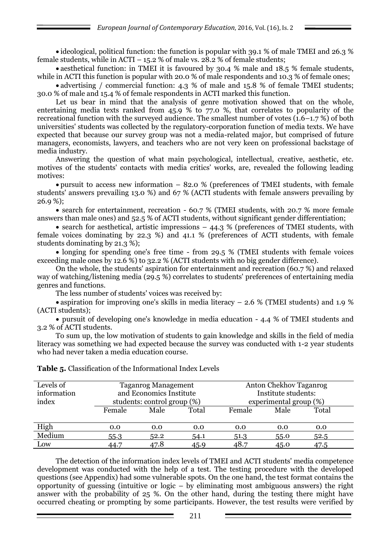ideological, political function: the function is popular with 39.1 % of male TMEI and 26.3 % female students, while in ACTI –  $15.2$  % of male vs.  $28.2$  % of female students;

• aesthetical function: in TMEI it is favoured by 30.4 % male and 18.5 % female students, while in ACTI this function is popular with 20.0 % of male respondents and 10.3 % of female ones;

• advertising / commercial function: 4.3 % of male and 15.8 % of female TMEI students; 30.0 % of male and 15.4 % of female respondents in ACTI marked this function.

Let us bear in mind that the analysis of genre motivation showed that on the whole, entertaining media texts ranked from  $45.9\%$  to 77.0 %, that correlates to popularity of the recreational function with the surveyed audience. The smallest number of votes  $(1.6-1.7\%)$  of both universities' students was collected by the regulatory-corporation function of media texts. We have expected that because our survey group was not a media-related major, but comprised of future managers, economists, lawyers, and teachers who are not very keen on professional backstage of media industry.

Answering the question of what main psychological, intellectual, creative, aesthetic, etc. motives of the students' contacts with media critics' works, are, revealed the following leading motives:

 pursuit to access new information – 82.0 % (preferences of TMEI students, with female students' answers prevailing 13.0 %) and 67 % (ACTI students with female answers prevailing by 26.9 %);

 search for entertainment, recreation - 60.7 % (TMEI students, with 20.7 % more female answers than male ones) and 52.5 % of ACTI students, without significant gender differentiation;

• search for aesthetical, artistic impressions  $-44.3$  % (preferences of TMEI students, with female voices dominating by 22.3 %) and 41.1 % (preferences of ACTI students, with female students dominating by 21.3 %);

• longing for spending one's free time - from 29.5 % (TMEI students with female voices exceeding male ones by 12.6 %) to 32.2 % (ACTI students with no big gender difference).

On the whole, the students' aspiration for entertainment and recreation (60.7 %) and relaxed way of watching/listening media (29.5 %) correlates to students' preferences of entertaining media genres and functions.

The less number of students' voices was received by:

• aspiration for improving one's skills in media literacy – 2.6 % (TMEI students) and 1.9 % (ACTI students);

 pursuit of developing one's knowledge in media education - 4.4 % of TMEI students and 3.2 % of ACTI students.

To sum up, the low motivation of students to gain knowledge and skills in the field of media literacy was something we had expected because the survey was conducted with 1-2 year students who had never taken a media education course.

| Levels of<br>information<br>index | <b>Taganrog Management</b><br>and Economics Institute<br>students: control group (%) |      |       | Anton Chekhov Taganrog<br>Institute students:<br>experimental group (%) |      |       |  |
|-----------------------------------|--------------------------------------------------------------------------------------|------|-------|-------------------------------------------------------------------------|------|-------|--|
|                                   | Female                                                                               | Male | Total | Female                                                                  | Male | Total |  |
| High                              | 0.0                                                                                  | 0.0  | 0.0   | 0.0                                                                     | 0.0  | 0.0   |  |
| Medium                            | $55-3$                                                                               | 52.2 | 54.1  | 51.3                                                                    | 55.0 | 52.5  |  |
| Low                               | 44.7                                                                                 | 47.8 | 45.9  | 48.7                                                                    | 45.0 | 47.5  |  |

**Table 5.** Classification of the Informational Index Levels

The detection of the information index levels of TMEI and ACTI students' media competence development was conducted with the help of a test. The testing procedure with the developed questions (see Appendix) had some vulnerable spots. On the one hand, the test format contains the opportunity of guessing (intuitive or logic – by eliminating most ambiguous answers) the right answer with the probability of 25 %. On the other hand, during the testing there might have occurred cheating or prompting by some participants. However, the test results were verified by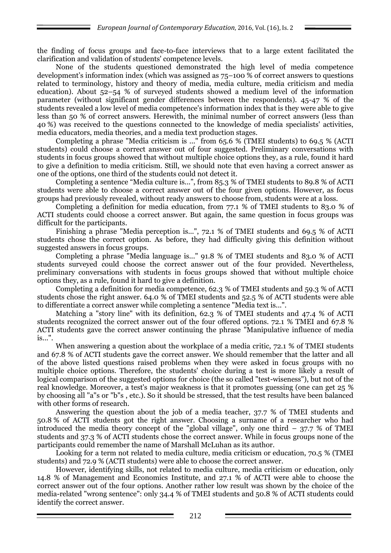the finding of focus groups and face-to-face interviews that to a large extent facilitated the clarification and validation of students' competence levels.

None of the students questioned demonstrated the high level of media competence development's information index (which was assigned as 75–100 % of correct answers to questions related to terminology, history and theory of media, media culture, media criticism and media education). About 52–54 % of surveyed students showed a medium level of the information parameter (without significant gender differences between the respondents). 45-47 % of the students revealed a low level of media competence's information index that is they were able to give less than 50 % of correct answers. Herewith, the minimal number of correct answers (less than 40 %) was received to the questions connected to the knowledge of media specialists' activities, media educators, media theories, and a media text production stages.

Completing a phrase "Media criticism is ..." from 65.6 % (TMEI students) to 69.5 % (ACTI students) could choose a correct answer out of four suggested. Preliminary conversations with students in focus groups showed that without multiple choice options they, as a rule, found it hard to give a definition to media criticism. Still, we should note that even having a correct answer as one of the options, one third of the students could not detect it.

Completing a sentence "Media culture is...", from 85.3 % of TMEI students to 89.8 % of ACTI students were able to choose a correct answer out of the four given options. However, as focus groups had previously revealed, without ready answers to choose from, students were at a loss.

Completing a definition for media education, from 77.1 % of TMEI students to 83.0 % of ACTI students could choose a correct answer. But again, the same question in focus groups was difficult for the participants.

Finishing a phrase "Media perception is...", 72.1 % of TMEI students and 69.5 % of ACTI students chose the correct option. As before, they had difficulty giving this definition without suggested answers in focus groups.

Completing a phrase "Media language is..." 91.8 % of TMEI students and 83.0 % of ACTI students surveyed could choose the correct answer out of the four provided. Nevertheless, preliminary conversations with students in focus groups showed that without multiple choice options they, as a rule, found it hard to give a definition.

Completing a definition for media competence, 62.3 % of TMEI students and 59.3 % of ACTI students chose the right answer. 64.0 % of TMEI students and 52.5 % of ACTI students were able to differentiate a correct answer while completing a sentence "Media text is...".

Matching a "story line" with its definition, 62.3 % of TMEI students and 47.4 % of ACTI students recognized the correct answer out of the four offered options. 72.1 % TMEI and 67.8 % ACTI students gave the correct answer continuing the phrase "Manipulative influence of media is...".

When answering a question about the workplace of a media critic, 72.1 % of TMEI students and 67.8 % of ACTI students gave the correct answer. We should remember that the latter and all of the above listed questions raised problems when they were asked in focus groups with no multiple choice options. Therefore, the students' choice during a test is more likely a result of logical comparison of the suggested options for choice (the so called "test-wiseness"), but not of the real knowledge. Moreover, a test's major weakness is that it promotes guessing (one can get 25 % by choosing all "a"s or "b"s , etc.). So it should be stressed, that the test results have been balanced with other forms of research.

Answering the question about the job of a media teacher, 37.7 % of TMEI students and 50.8 % of ACTI students got the right answer. Choosing a surname of a researcher who had introduced the media theory concept of the "global village", only one third  $-37.7\%$  of TMEI students and 37.3 % of ACTI students chose the correct answer. While in focus groups none of the participants could remember the name of Marshall McLuhan as its author.

Looking for a term not related to media culture, media criticism or education, 70.5 % (TMEI students) and 72.9 % (ACTI students) were able to choose the correct answer.

However, identifying skills, not related to media culture, media criticism or education, only 14.8 % of Management and Economics Institute, and 27.1 % of ACTI were able to choose the correct answer out of the four options. Another rather low result was shown by the choice of the media-related "wrong sentence": only 34.4 % of TMEI students and 50.8 % of ACTI students could identify the correct answer.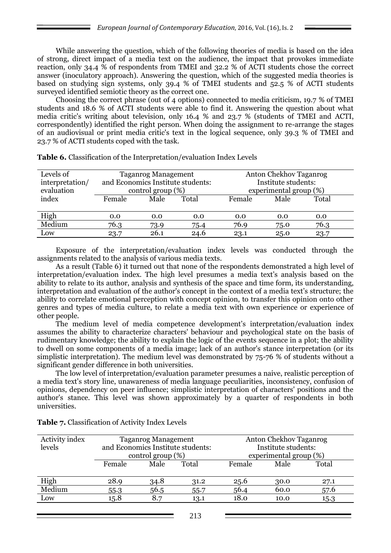While answering the question, which of the following theories of media is based on the idea of strong, direct impact of a media text on the audience, the impact that provokes immediate reaction, only 34.4 % of respondents from TMEI and 32.2 % of ACTI students chose the correct answer (inoculatory approach). Answering the question, which of the suggested media theories is based on studying sign systems, only 39.4 % of TMEI students and 52.5 % of ACTI students surveyed identified semiotic theory as the correct one.

Choosing the correct phrase (out of 4 options) connected to media criticism, 19.7 % of TMEI students and 18.6 % of ACTI students were able to find it. Answering the question about what media critic's writing about television, only 16.4 % and 23.7 % (students of TMEI and ACTI, correspondently) identified the right person. When doing the assignment to re-arrange the stages of an audiovisual or print media critic's text in the logical sequence, only 39.3 % of TMEI and 23.7 % of ACTI students coped with the task.

| Levels of                     |                                   | <b>Taganrog Management</b> |       | Anton Chekhov Taganrog                        |      |       |  |
|-------------------------------|-----------------------------------|----------------------------|-------|-----------------------------------------------|------|-------|--|
| interpretation/<br>evaluation | and Economics Institute students: |                            |       | Institute students:<br>experimental group (%) |      |       |  |
|                               | control group $(\%)$              |                            |       |                                               |      |       |  |
| index                         | Female                            | Male                       | Total | Female                                        | Male | Total |  |
|                               |                                   |                            |       |                                               |      |       |  |
| High                          | 0.0                               | 0.0                        | 0.0   | 0.0                                           | 0.0  | 0.0   |  |
| Medium                        | 76.3                              | 73.9                       | 75.4  | 76.9                                          | 75.0 | 76.3  |  |
| Low                           | 23.7                              | 26.1                       | 24.6  | 23.1                                          | 25.0 | 23.7  |  |

**Table 6.** Classification of the Interpretation/evaluation Index Levels

Exposure of the interpretation/evaluation index levels was conducted through the assignments related to the analysis of various media texts.

As a result (Table 6) it turned out that none of the respondents demonstrated a high level of interpretation/evaluation index. The high level presumes a media text's analysis based on the ability to relate to its author, analysis and synthesis of the space and time form, its understanding, interpretation and evaluation of the author's concept in the context of a media text's structure; the ability to correlate emotional perception with concept opinion, to transfer this opinion onto other genres and types of media culture, to relate a media text with own experience or experience of other people.

The medium level of media competence development's interpretation/evaluation index assumes the ability to characterize characters' behaviour and psychological state on the basis of rudimentary knowledge; the ability to explain the logic of the events sequence in a plot; the ability to dwell on some components of a media image; lack of an author's stance interpretation (or its simplistic interpretation). The medium level was demonstrated by 75-76 % of students without a significant gender difference in both universities.

The low level of interpretation/evaluation parameter presumes a naive, realistic perception of a media text's story line, unawareness of media language peculiarities, inconsistency, confusion of opinions, dependency on peer influence; simplistic interpretation of characters' positions and the author's stance. This level was shown approximately by a quarter of respondents in both universities.

| Activity index |                                   | <b>Taganrog Management</b> |      | Anton Chekhov Taganrog |      |       |
|----------------|-----------------------------------|----------------------------|------|------------------------|------|-------|
| levels         | and Economics Institute students: |                            |      | Institute students:    |      |       |
|                | control group $(\%)$              |                            |      | experimental group (%) |      |       |
|                | Male<br>Total<br>Female           |                            |      | Female                 | Male | Total |
|                |                                   |                            |      |                        |      |       |
| High           | 28.9                              | 34.8                       | 31.2 | 25.6                   | 30.0 | 27.1  |
| Medium         | $55-3$                            | 56.5                       | 55.7 | 56.4                   | 60.0 | 57.6  |
| Low            | 15.8                              | 8.7                        | 13.1 | 18.0                   | 10.0 | 15.3  |

**Table 7.** Classification of Activity Index Levels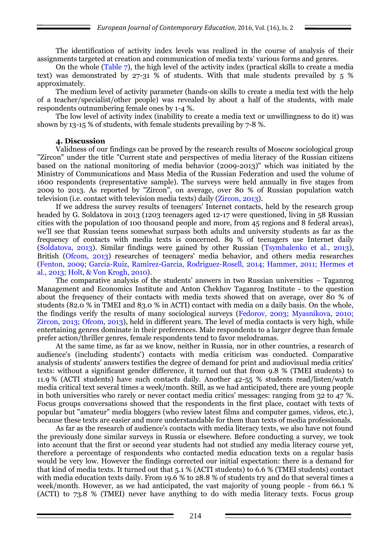The identification of activity index levels was realized in the course of analysis of their assignments targeted at creation and communication of media texts' various forms and genres.

On the whole (Table 7), the high level of the activity index (practical skills to create a media text) was demonstrated by 27-31 % of students. With that male students prevailed by 5 % approximately.

The medium level of activity parameter (hands-on skills to create a media text with the help of a teacher/specialist/other people) was revealed by about a half of the students, with male respondents outnumbering female ones by 1-4 %.

The low level of activity index (inability to create a media text or unwillingness to do it) was shown by 13-15 % of students, with female students prevailing by 7-8 %.

## **4. Discussion**

Validness of our findings can be proved by the research results of Moscow sociological group "Zircon" under the title "Current state and perspectives of media literacy of the Russian citizens based on the national monitoring of media behavior (2009-2013)" which was initiated by the Ministry of Communications and Mass Media of the Russian Federation and used the volume of 1600 respondents (representative sample). The surveys were held annually in five stages from 2009 to 2013. As reported by "Zircon", on average, over 80 % of Russian population watch television (i.e. contact with television media texts) daily (Zircon, 2013).

If we address the survey results of teenagers' Internet contacts, held by the research group headed by G. Soldatova in 2013 (1203 teenagers aged 12-17 were questioned, living in 58 Russian cities with the population of 100 thousand people and more, from  $45$  regions and  $8$  federal areas), we'll see that Russian teens somewhat surpass both adults and university students as far as the frequency of contacts with media texts is concerned. 89 % of teenagers use Internet daily (Soldatova, 2013). Similar findings were gained by other Russian (Tsymbalenko et al., 2013), British (Ofcom, 2013) researches of teenagers' media behavior, and others media researches (Fenton, 2009; Garcia-Ruiz, Ramirez-Garcia, Rodriguez-Rosell, 2014; Hammer, 2011; Hermes et al., 2013; Holt, & Von Krogh, 2010).

The comparative analysis of the students' answers in two Russian universities – Taganrog Management and Economics Institute and Anton Chekhov Taganrog Institute - to the question about the frequency of their contacts with media texts showed that on average, over 80 % of students (82.0 % in TMEI and 83.0 % in ACTI) contact with media on a daily basis. On the whole, the findings verify the results of many sociological surveys (Fedorov, 2003; Myasnikova, 2010; Zircon, 2013; Ofcom, 2013), held in different years. The level of media contacts is very high, while entertaining genres dominate in their preferences. Male respondents to a larger degree than female prefer action/thriller genres, female respondents tend to favor melodramas.

At the same time, as far as we know, neither in Russia, nor in other countries, a research of audience's (including students') contacts with media criticism was conducted. Comparative analysis of students' answers testifies the degree of demand for print and audiovisual media critics' texts: without a significant gender difference, it turned out that from 9.8 % (TMEI students) to 11.9 % (ACTI students) have such contacts daily. Another 42-55 % students read/listen/watch media critical text several times a week/month. Still, as we had anticipated, there are young people in both universities who rarely or never contact media critics' messages: ranging from 32 to 47 %. Focus groups conversations showed that the respondents in the first place, contact with texts of popular but "amateur" media bloggers (who review latest films and computer games, videos, etc.), because these texts are easier and more understandable for them than texts of media professionals.

As far as the research of audience's contacts with media literacy texts, we also have not found the previously done similar surveys in Russia or elsewhere. Before conducting a survey, we took into account that the first or second year students had not studied any media literacy course yet, therefore a percentage of respondents who contacted media education texts on a regular basis would be very low. However the findings corrected our initial expectation: there is a demand for that kind of media texts. It turned out that 5.1 % (ACTI students) to 6.6 % (TMEI students) contact with media education texts daily. From 19.6 % to 28.8 % of students try and do that several times a week/month. However, as we had anticipated, the vast majority of young people - from 66.1 % (ACTI) to 73.8 % (TMEI) never have anything to do with media literacy texts. Focus group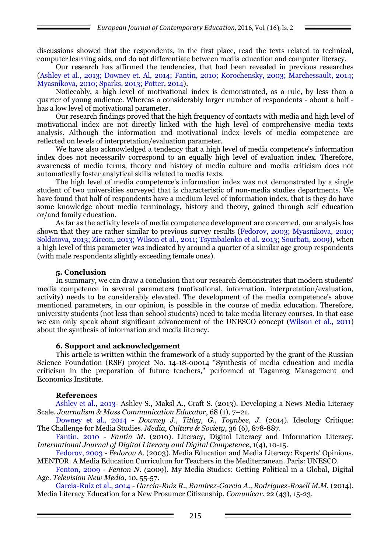discussions showed that the respondents, in the first place, read the texts related to technical, computer learning aids, and do not differentiate between media education and computer literacy.

Our research has affirmed the tendencies, that had been revealed in previous researches (Ashley et al., 2013; Downey et. Al, 2014; Fantin, 2010; Korochensky, 2003; Marchessault, 2014; Myasnikova, 2010; Sparks, 2013; Potter, 2014).

Noticeably, a high level of motivational index is demonstrated, as a rule, by less than a quarter of young audience. Whereas a considerably larger number of respondents - about a half has a low level of motivational parameter.

Our research findings proved that the high frequency of contacts with media and high level of motivational index are not directly linked with the high level of comprehensive media texts analysis. Although the information and motivational index levels of media competence are reflected on levels of interpretation/evaluation parameter.

We have also acknowledged a tendency that a high level of media competence's information index does not necessarily correspond to an equally high level of evaluation index. Therefore, awareness of media terms, theory and history of media culture and media criticism does not automatically foster analytical skills related to media texts.

The high level of media competence's information index was not demonstrated by a single student of two universities surveyed that is characteristic of non-media studies departments. We have found that half of respondents have a medium level of information index, that is they do have some knowledge about media terminology, history and theory, gained through self education or/and family education.

As far as the activity levels of media competence development are concerned, our analysis has shown that they are rather similar to previous survey results (Fedorov, 2003; Myasnikova, 2010; Soldatova, 2013; Zircon, 2013; Wilson et al., 2011; Tsymbalenko et al. 2013; Sourbati, 2009), when a high level of this parameter was indicated by around a quarter of a similar age group respondents (with male respondents slightly exceeding female ones).

### **5. Conclusion**

In summary, we can draw a conclusion that our research demonstrates that modern students' media competence in several parameters (motivational, information, interpretation/evaluation, activity) needs to be considerably elevated. The development of the media competence's above mentioned parameters, in our opinion, is possible in the course of media education. Therefore, university students (not less than school students) need to take media literacy courses. In that case we can only speak about significant advancement of the UNESCO concept (Wilson et al., 2011) about the synthesis of information and media literacy.

### **6. Support and acknowledgement**

This article is written within the framework of a study supported by the grant of the Russian Science Foundation (RSF) project No. 14-18-00014 "Synthesis of media education and media criticism in the preparation of future teachers," performed at Taganrog Management and Economics Institute.

### **References**

Ashley et al., 2013- Ashley S., Maksl A., Craft S. (2013). Developing a News Media Literacy Scale. *Journalism & Mass Communication Educator*, 68 (1), 7–21.

Downey et al., 2014 - *Downey J., Titley, G., Toynbee, J.* (2014). Ideology Critique: The Challenge for Media Studies. *Media, Culture & Society*, 36 (6), 878-887.

Fantin, 2010 - *Fantin M*. (2010). Literacy, Digital Literacy and Information Literacy. *International Journal of Digital Literacy and Digital Competence*, 1(4), 10-15.

Fedorov, 2003 - *Fedorov A.* (2003). Media Education and Media Literacy: Experts' Opinions. MENTOR. A Media Education Curriculum for Teachers in the Mediterranean. Paris: UNESCO.

Fenton, 2009 - *Fenton N. (*2009). My Media Studies: Getting Political in a Global, Digital Age. *Television New Media*, 10, 55-57.

Garcia-Ruiz et al., 2014 - *Garcia-Ruiz R., Ramirez-Garcia A., Rodriguez-Rosell M.M.* (2014). Media Literacy Education for a New Prosumer Citizenship. *Comunicar*. 22 (43), 15-23.